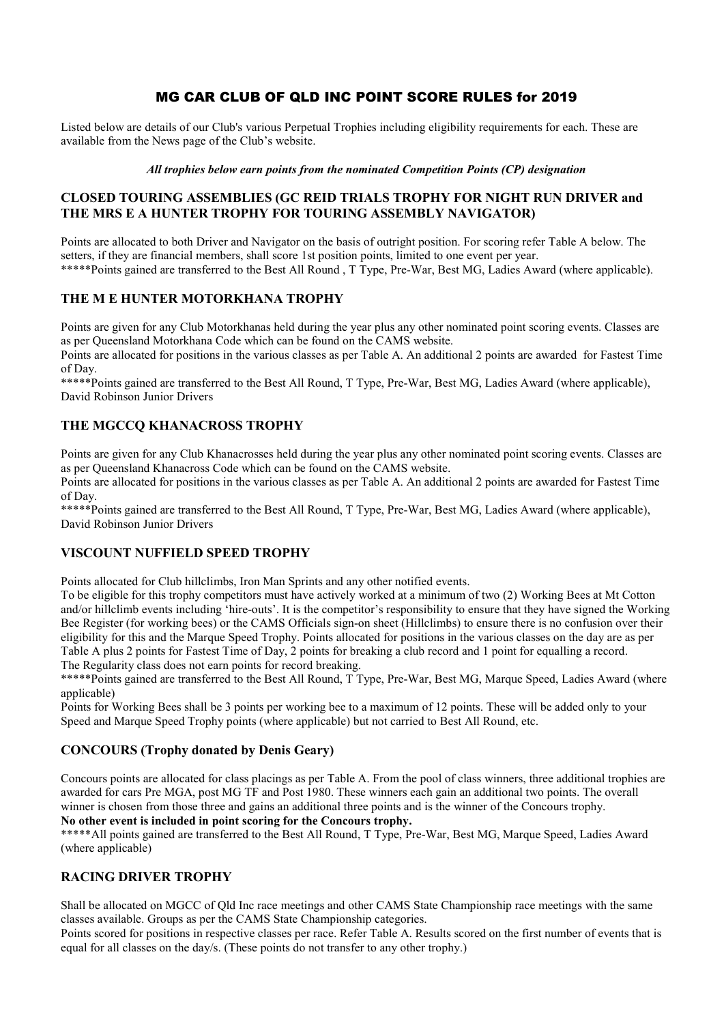# MG CAR CLUB OF QLD INC POINT SCORE RULES for 2019

Listed below are details of our Club's various Perpetual Trophies including eligibility requirements for each. These are available from the News page of the Club's website.

#### All trophies below earn points from the nominated Competition Points (CP) designation

## CLOSED TOURING ASSEMBLIES (GC REID TRIALS TROPHY FOR NIGHT RUN DRIVER and THE MRS E A HUNTER TROPHY FOR TOURING ASSEMBLY NAVIGATOR)

Points are allocated to both Driver and Navigator on the basis of outright position. For scoring refer Table A below. The setters, if they are financial members, shall score 1st position points, limited to one event per year. \*\*\*\*\*Points gained are transferred to the Best All Round , T Type, Pre-War, Best MG, Ladies Award (where applicable).

## THE M E HUNTER MOTORKHANA TROPHY

Points are given for any Club Motorkhanas held during the year plus any other nominated point scoring events. Classes are as per Queensland Motorkhana Code which can be found on the CAMS website.

Points are allocated for positions in the various classes as per Table A. An additional 2 points are awarded for Fastest Time of Day.

\*\*\*\*\*Points gained are transferred to the Best All Round, T Type, Pre-War, Best MG, Ladies Award (where applicable), David Robinson Junior Drivers

# THE MGCCQ KHANACROSS TROPHY

Points are given for any Club Khanacrosses held during the year plus any other nominated point scoring events. Classes are as per Queensland Khanacross Code which can be found on the CAMS website.

Points are allocated for positions in the various classes as per Table A. An additional 2 points are awarded for Fastest Time of Day.

\*\*\*\*\*Points gained are transferred to the Best All Round, T Type, Pre-War, Best MG, Ladies Award (where applicable), David Robinson Junior Drivers

## VISCOUNT NUFFIELD SPEED TROPHY

Points allocated for Club hillclimbs, Iron Man Sprints and any other notified events.

To be eligible for this trophy competitors must have actively worked at a minimum of two (2) Working Bees at Mt Cotton and/or hillclimb events including 'hire-outs'. It is the competitor's responsibility to ensure that they have signed the Working Bee Register (for working bees) or the CAMS Officials sign-on sheet (Hillclimbs) to ensure there is no confusion over their eligibility for this and the Marque Speed Trophy. Points allocated for positions in the various classes on the day are as per Table A plus 2 points for Fastest Time of Day, 2 points for breaking a club record and 1 point for equalling a record. The Regularity class does not earn points for record breaking.

\*\*\*\*\*Points gained are transferred to the Best All Round, T Type, Pre-War, Best MG, Marque Speed, Ladies Award (where applicable)

Points for Working Bees shall be 3 points per working bee to a maximum of 12 points. These will be added only to your Speed and Marque Speed Trophy points (where applicable) but not carried to Best All Round, etc.

## CONCOURS (Trophy donated by Denis Geary)

Concours points are allocated for class placings as per Table A. From the pool of class winners, three additional trophies are awarded for cars Pre MGA, post MG TF and Post 1980. These winners each gain an additional two points. The overall winner is chosen from those three and gains an additional three points and is the winner of the Concours trophy.

# No other event is included in point scoring for the Concours trophy.

\*\*\*\*\*All points gained are transferred to the Best All Round, T Type, Pre-War, Best MG, Marque Speed, Ladies Award (where applicable)

## RACING DRIVER TROPHY

Shall be allocated on MGCC of Qld Inc race meetings and other CAMS State Championship race meetings with the same classes available. Groups as per the CAMS State Championship categories.

Points scored for positions in respective classes per race. Refer Table A. Results scored on the first number of events that is equal for all classes on the day/s. (These points do not transfer to any other trophy.)